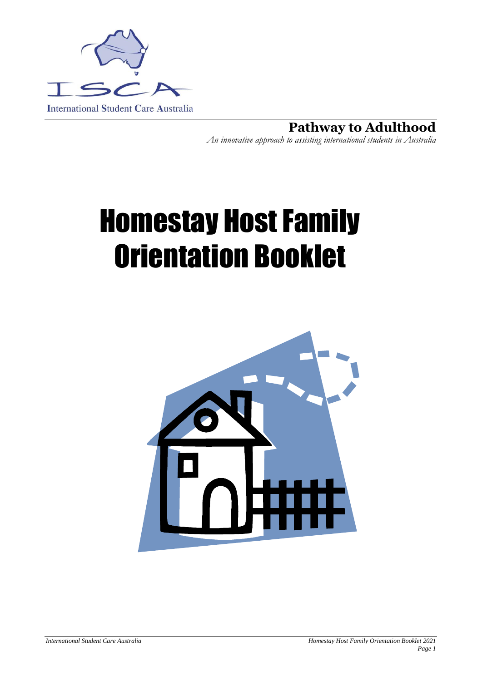

**Pathway to Adulthood** *An innovative approach to assisting international students in Australia*

# Homestay Host Family Orientation Booklet

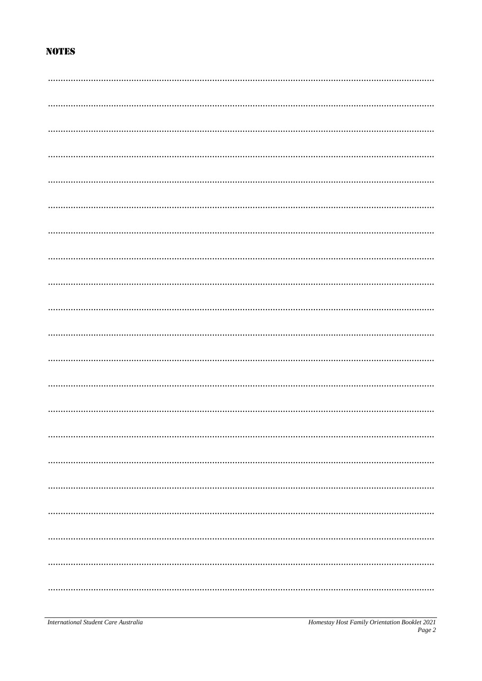# **NOTES**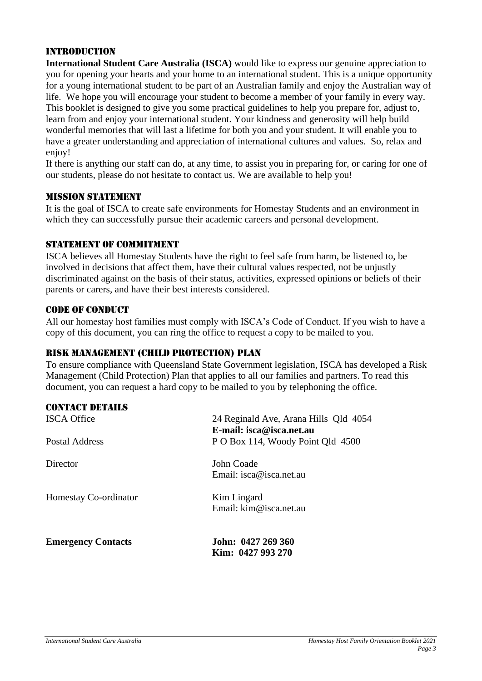#### Introduction

**International Student Care Australia (ISCA)** would like to express our genuine appreciation to you for opening your hearts and your home to an international student. This is a unique opportunity for a young international student to be part of an Australian family and enjoy the Australian way of life. We hope you will encourage your student to become a member of your family in every way. This booklet is designed to give you some practical guidelines to help you prepare for, adjust to, learn from and enjoy your international student. Your kindness and generosity will help build wonderful memories that will last a lifetime for both you and your student. It will enable you to have a greater understanding and appreciation of international cultures and values. So, relax and enjoy!

If there is anything our staff can do, at any time, to assist you in preparing for, or caring for one of our students, please do not hesitate to contact us. We are available to help you!

#### Mission Statement

It is the goal of ISCA to create safe environments for Homestay Students and an environment in which they can successfully pursue their academic careers and personal development.

#### STATEMENT OF COMMITMENT

ISCA believes all Homestay Students have the right to feel safe from harm, be listened to, be involved in decisions that affect them, have their cultural values respected, not be unjustly discriminated against on the basis of their status, activities, expressed opinions or beliefs of their parents or carers, and have their best interests considered.

#### CODE OF CONDUCT

All our homestay host families must comply with ISCA's Code of Conduct. If you wish to have a copy of this document, you can ring the office to request a copy to be mailed to you.

#### Risk Management (Child Protection) Plan

To ensure compliance with Queensland State Government legislation, ISCA has developed a Risk Management (Child Protection) Plan that applies to all our families and partners. To read this document, you can request a hard copy to be mailed to you by telephoning the office.

| <b>CONTACT DETAILS</b>    |                                                                   |
|---------------------------|-------------------------------------------------------------------|
| <b>ISCA Office</b>        | 24 Reginald Ave, Arana Hills Qld 4054<br>E-mail: isca@isca.net.au |
| Postal Address            | P O Box 114, Woody Point Qld 4500                                 |
| Director                  | John Coade<br>Email: $isca@isca.net.au$                           |
| Homestay Co-ordinator     | Kim Lingard<br>Email: $\lim @$ isca.net.au                        |
| <b>Emergency Contacts</b> | John: 0427 269 360<br>Kim: 0427 993 270                           |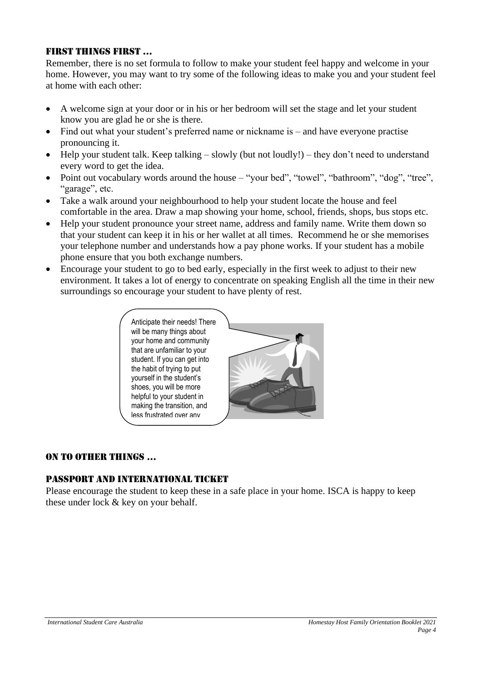#### FIRST THINGS FIRST …

Remember, there is no set formula to follow to make your student feel happy and welcome in your home. However, you may want to try some of the following ideas to make you and your student feel at home with each other:

- A welcome sign at your door or in his or her bedroom will set the stage and let your student know you are glad he or she is there.
- Find out what your student's preferred name or nickname is and have everyone practise pronouncing it.
- Help your student talk. Keep talking slowly (but not loudly!) they don't need to understand every word to get the idea.
- Point out vocabulary words around the house "your bed", "towel", "bathroom", "dog", "tree", "garage", etc.
- Take a walk around your neighbourhood to help your student locate the house and feel comfortable in the area. Draw a map showing your home, school, friends, shops, bus stops etc.
- Help your student pronounce your street name, address and family name. Write them down so that your student can keep it in his or her wallet at all times. Recommend he or she memorises your telephone number and understands how a pay phone works. If your student has a mobile phone ensure that you both exchange numbers.
- Encourage your student to go to bed early, especially in the first week to adjust to their new environment. It takes a lot of energy to concentrate on speaking English all the time in their new surroundings so encourage your student to have plenty of rest.



#### ON TO OTHER THINGS …

#### Passport and International Ticket

Please encourage the student to keep these in a safe place in your home. ISCA is happy to keep these under lock & key on your behalf.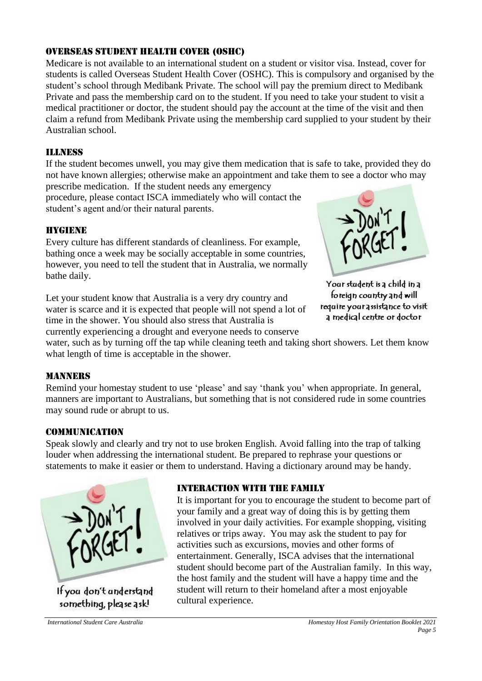#### OVERSEAS Student Health Cover (OSHC)

Medicare is not available to an international student on a student or visitor visa. Instead, cover for students is called Overseas Student Health Cover (OSHC). This is compulsory and organised by the student's school through Medibank Private. The school will pay the premium direct to Medibank Private and pass the membership card on to the student. If you need to take your student to visit a medical practitioner or doctor, the student should pay the account at the time of the visit and then claim a refund from Medibank Private using the membership card supplied to your student by their Australian school.

# Illness

If the student becomes unwell, you may give them medication that is safe to take, provided they do not have known allergies; otherwise make an appointment and take them to see a doctor who may prescribe medication. If the student needs any emergency

procedure, please contact ISCA immediately who will contact the student's agent and/or their natural parents.

# HYGIENE

Every culture has different standards of cleanliness. For example, bathing once a week may be socially acceptable in some countries, however, you need to tell the student that in Australia, we normally bathe daily.

Let your student know that Australia is a very dry country and water is scarce and it is expected that people will not spend a lot of time in the shower. You should also stress that Australia is currently experiencing a drought and everyone needs to conserve



Your student is a child in a foreign country and will require your assistance to visit a medical centre or doctor

water, such as by turning off the tap while cleaning teeth and taking short showers. Let them know what length of time is acceptable in the shower.

# **MANNERS**

Remind your homestay student to use 'please' and say 'thank you' when appropriate. In general, manners are important to Australians, but something that is not considered rude in some countries may sound rude or abrupt to us.

#### Communication

Speak slowly and clearly and try not to use broken English. Avoid falling into the trap of talking louder when addressing the international student. Be prepared to rephrase your questions or statements to make it easier or them to understand. Having a dictionary around may be handy.



If you don't understand something, please ask!

#### Interaction with the family

It is important for you to encourage the student to become part of your family and a great way of doing this is by getting them involved in your daily activities. For example shopping, visiting relatives or trips away. You may ask the student to pay for activities such as excursions, movies and other forms of entertainment. Generally, ISCA advises that the international student should become part of the Australian family. In this way, the host family and the student will have a happy time and the student will return to their homeland after a most enjoyable cultural experience.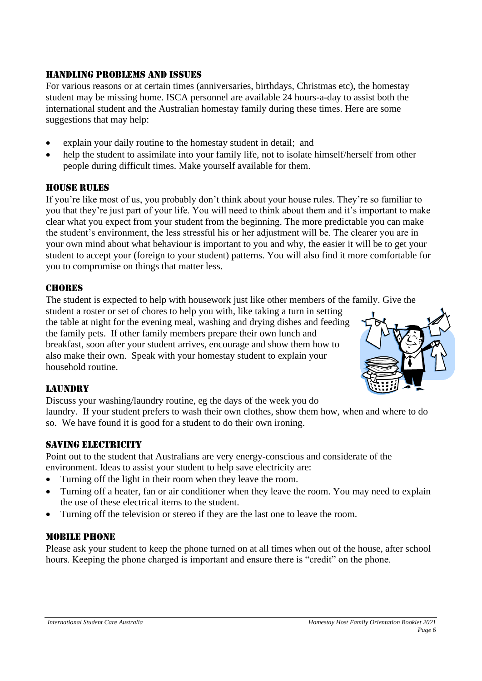#### Handling Problems and Issues

For various reasons or at certain times (anniversaries, birthdays, Christmas etc), the homestay student may be missing home. ISCA personnel are available 24 hours-a-day to assist both the international student and the Australian homestay family during these times. Here are some suggestions that may help:

- explain your daily routine to the homestay student in detail; and
- help the student to assimilate into your family life, not to isolate himself/herself from other people during difficult times. Make yourself available for them.

#### HOUSE RULES

If you're like most of us, you probably don't think about your house rules. They're so familiar to you that they're just part of your life. You will need to think about them and it's important to make clear what you expect from your student from the beginning. The more predictable you can make the student's environment, the less stressful his or her adjustment will be. The clearer you are in your own mind about what behaviour is important to you and why, the easier it will be to get your student to accept your (foreign to your student) patterns. You will also find it more comfortable for you to compromise on things that matter less.

#### **CHORES**

The student is expected to help with housework just like other members of the family. Give the

student a roster or set of chores to help you with, like taking a turn in setting the table at night for the evening meal, washing and drying dishes and feeding the family pets. If other family members prepare their own lunch and breakfast, soon after your student arrives, encourage and show them how to also make their own. Speak with your homestay student to explain your household routine.



# **LAUNDRY**

Discuss your washing/laundry routine, eg the days of the week you do

laundry. If your student prefers to wash their own clothes, show them how, when and where to do so. We have found it is good for a student to do their own ironing.

# SAVING ELECTRICITY

Point out to the student that Australians are very energy-conscious and considerate of the environment. Ideas to assist your student to help save electricity are:

- Turning off the light in their room when they leave the room.
- Turning off a heater, fan or air conditioner when they leave the room. You may need to explain the use of these electrical items to the student.
- Turning off the television or stereo if they are the last one to leave the room.

#### Mobile Phone

Please ask your student to keep the phone turned on at all times when out of the house, after school hours. Keeping the phone charged is important and ensure there is "credit" on the phone.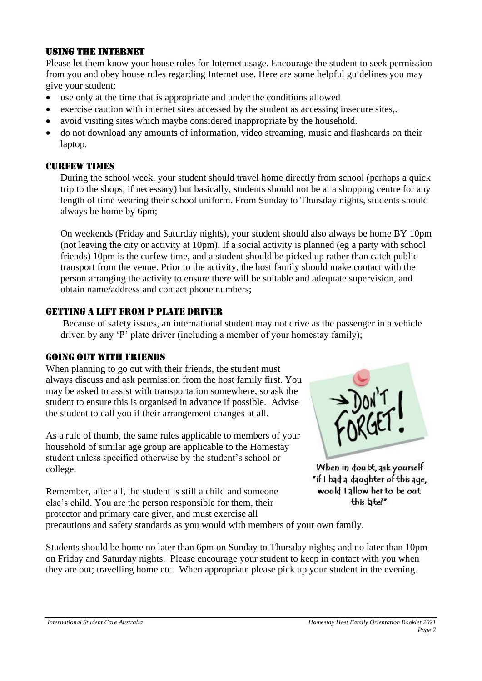#### Using the Internet

Please let them know your house rules for Internet usage. Encourage the student to seek permission from you and obey house rules regarding Internet use. Here are some helpful guidelines you may give your student:

- use only at the time that is appropriate and under the conditions allowed
- exercise caution with internet sites accessed by the student as accessing insecure sites,.
- avoid visiting sites which maybe considered inappropriate by the household.
- do not download any amounts of information, video streaming, music and flashcards on their laptop.

#### **CURFEW TIMES**

During the school week, your student should travel home directly from school (perhaps a quick trip to the shops, if necessary) but basically, students should not be at a shopping centre for any length of time wearing their school uniform. From Sunday to Thursday nights, students should always be home by 6pm;

On weekends (Friday and Saturday nights), your student should also always be home BY 10pm (not leaving the city or activity at 10pm). If a social activity is planned (eg a party with school friends) 10pm is the curfew time, and a student should be picked up rather than catch public transport from the venue. Prior to the activity, the host family should make contact with the person arranging the activity to ensure there will be suitable and adequate supervision, and obtain name/address and contact phone numbers;

#### Getting a lift from P plate driver

Because of safety issues, an international student may not drive as the passenger in a vehicle driven by any 'P' plate driver (including a member of your homestay family);

#### Going out with friends

When planning to go out with their friends, the student must always discuss and ask permission from the host family first. You may be asked to assist with transportation somewhere, so ask the student to ensure this is organised in advance if possible. Advise the student to call you if their arrangement changes at all.

As a rule of thumb, the same rules applicable to members of your household of similar age group are applicable to the Homestay student unless specified otherwise by the student's school or college.

Remember, after all, the student is still a child and someone else's child. You are the person responsible for them, their protector and primary care giver, and must exercise all



When in doabt, ask yourself "if I had a daughter of this age, would I allow her to be out this latel"

precautions and safety standards as you would with members of your own family.

Students should be home no later than 6pm on Sunday to Thursday nights; and no later than 10pm on Friday and Saturday nights. Please encourage your student to keep in contact with you when they are out; travelling home etc. When appropriate please pick up your student in the evening.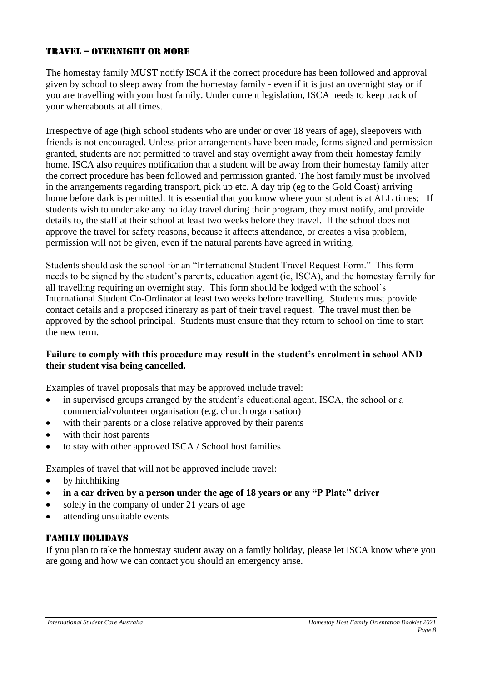# TRAVEL – OVERNIGHT OR MORE

The homestay family MUST notify ISCA if the correct procedure has been followed and approval given by school to sleep away from the homestay family - even if it is just an overnight stay or if you are travelling with your host family. Under current legislation, ISCA needs to keep track of your whereabouts at all times.

Irrespective of age (high school students who are under or over 18 years of age), sleepovers with friends is not encouraged. Unless prior arrangements have been made, forms signed and permission granted, students are not permitted to travel and stay overnight away from their homestay family home. ISCA also requires notification that a student will be away from their homestay family after the correct procedure has been followed and permission granted. The host family must be involved in the arrangements regarding transport, pick up etc. A day trip (eg to the Gold Coast) arriving home before dark is permitted. It is essential that you know where your student is at ALL times; If students wish to undertake any holiday travel during their program, they must notify, and provide details to, the staff at their school at least two weeks before they travel. If the school does not approve the travel for safety reasons, because it affects attendance, or creates a visa problem, permission will not be given, even if the natural parents have agreed in writing.

Students should ask the school for an "International Student Travel Request Form." This form needs to be signed by the student's parents, education agent (ie, ISCA), and the homestay family for all travelling requiring an overnight stay. This form should be lodged with the school's International Student Co-Ordinator at least two weeks before travelling. Students must provide contact details and a proposed itinerary as part of their travel request. The travel must then be approved by the school principal. Students must ensure that they return to school on time to start the new term.

#### **Failure to comply with this procedure may result in the student's enrolment in school AND their student visa being cancelled.**

Examples of travel proposals that may be approved include travel:

- in supervised groups arranged by the student's educational agent, ISCA, the school or a commercial/volunteer organisation (e.g. church organisation)
- with their parents or a close relative approved by their parents
- with their host parents
- to stay with other approved ISCA / School host families

Examples of travel that will not be approved include travel:

- by hitchhiking
- **in a car driven by a person under the age of 18 years or any "P Plate" driver**
- solely in the company of under 21 years of age
- attending unsuitable events

#### Family holidays

If you plan to take the homestay student away on a family holiday, please let ISCA know where you are going and how we can contact you should an emergency arise.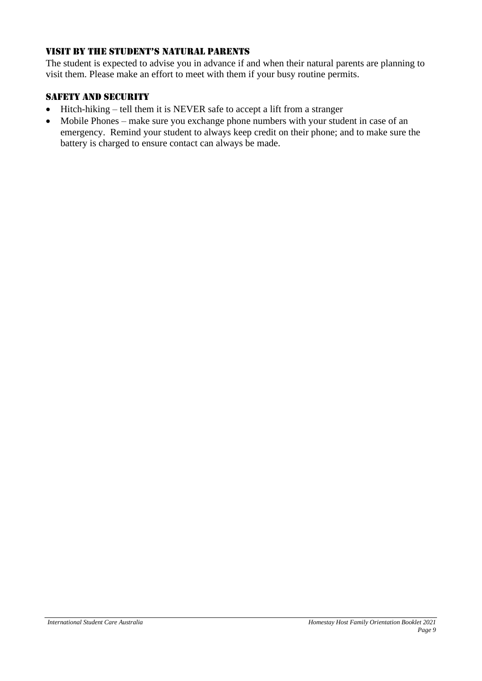# Visit by the student's natural parents

The student is expected to advise you in advance if and when their natural parents are planning to visit them. Please make an effort to meet with them if your busy routine permits.

# SAFETY AND SECURITY

- Hitch-hiking tell them it is NEVER safe to accept a lift from a stranger
- Mobile Phones make sure you exchange phone numbers with your student in case of an emergency. Remind your student to always keep credit on their phone; and to make sure the battery is charged to ensure contact can always be made.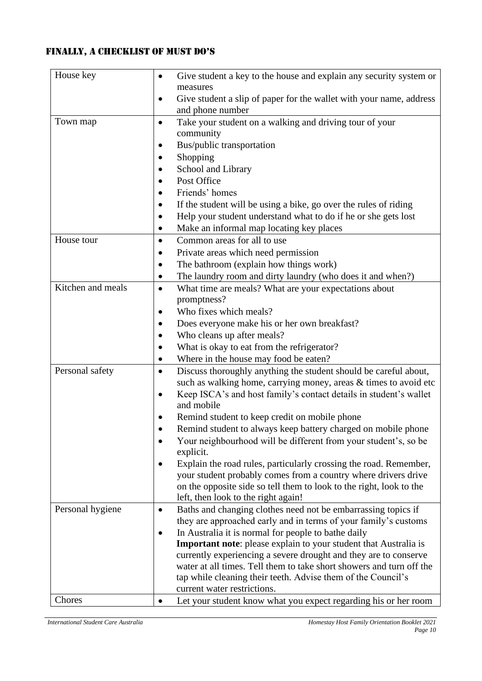# FINALLY, a CheCklist of must do's

| House key         | Give student a key to the house and explain any security system or<br>$\bullet$                      |
|-------------------|------------------------------------------------------------------------------------------------------|
|                   | measures                                                                                             |
|                   | Give student a slip of paper for the wallet with your name, address<br>$\bullet$<br>and phone number |
| Town map          |                                                                                                      |
|                   | Take your student on a walking and driving tour of your<br>٠<br>community                            |
|                   | Bus/public transportation                                                                            |
|                   | Shopping                                                                                             |
|                   | School and Library                                                                                   |
|                   | Post Office                                                                                          |
|                   | Friends' homes                                                                                       |
|                   | If the student will be using a bike, go over the rules of riding                                     |
|                   | Help your student understand what to do if he or she gets lost                                       |
|                   | Make an informal map locating key places                                                             |
| House tour        | Common areas for all to use<br>$\bullet$                                                             |
|                   | Private areas which need permission                                                                  |
|                   | The bathroom (explain how things work)                                                               |
|                   | The laundry room and dirty laundry (who does it and when?)                                           |
| Kitchen and meals | What time are meals? What are your expectations about<br>$\bullet$                                   |
|                   | promptness?                                                                                          |
|                   | Who fixes which meals?                                                                               |
|                   | Does everyone make his or her own breakfast?                                                         |
|                   | Who cleans up after meals?                                                                           |
|                   | What is okay to eat from the refrigerator?                                                           |
|                   | Where in the house may food be eaten?                                                                |
| Personal safety   | Discuss thoroughly anything the student should be careful about,                                     |
|                   | such as walking home, carrying money, areas & times to avoid etc                                     |
|                   | Keep ISCA's and host family's contact details in student's wallet<br>٠<br>and mobile                 |
|                   | Remind student to keep credit on mobile phone                                                        |
|                   | Remind student to always keep battery charged on mobile phone                                        |
|                   | Your neighbourhood will be different from your student's, so be                                      |
|                   | explicit.                                                                                            |
|                   | Explain the road rules, particularly crossing the road. Remember,                                    |
|                   | your student probably comes from a country where drivers drive                                       |
|                   | on the opposite side so tell them to look to the right, look to the                                  |
|                   | left, then look to the right again!                                                                  |
| Personal hygiene  | Baths and changing clothes need not be embarrassing topics if                                        |
|                   | they are approached early and in terms of your family's customs                                      |
|                   | In Australia it is normal for people to bathe daily                                                  |
|                   | <b>Important note:</b> please explain to your student that Australia is                              |
|                   | currently experiencing a severe drought and they are to conserve                                     |
|                   | water at all times. Tell them to take short showers and turn off the                                 |
|                   | tap while cleaning their teeth. Advise them of the Council's                                         |
|                   | current water restrictions.                                                                          |
| Chores            | Let your student know what you expect regarding his or her room                                      |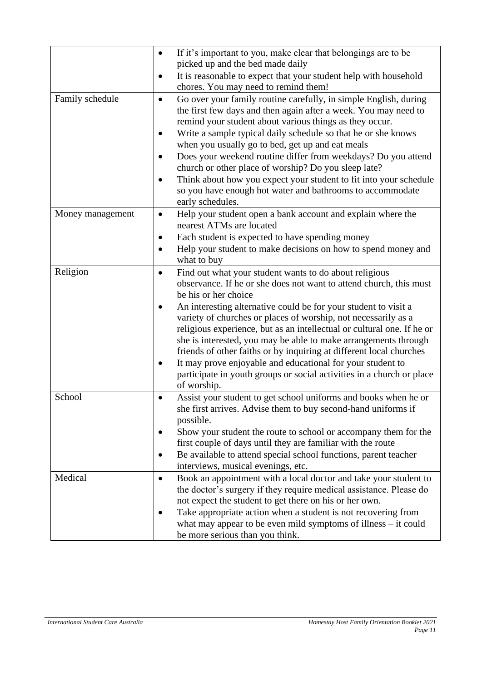|                  | If it's important to you, make clear that belongings are to be                                                                      |
|------------------|-------------------------------------------------------------------------------------------------------------------------------------|
|                  | picked up and the bed made daily                                                                                                    |
|                  | It is reasonable to expect that your student help with household<br>chores. You may need to remind them!                            |
| Family schedule  | Go over your family routine carefully, in simple English, during<br>$\bullet$                                                       |
|                  | the first few days and then again after a week. You may need to                                                                     |
|                  | remind your student about various things as they occur.                                                                             |
|                  | Write a sample typical daily schedule so that he or she knows<br>$\bullet$                                                          |
|                  | when you usually go to bed, get up and eat meals                                                                                    |
|                  | Does your weekend routine differ from weekdays? Do you attend                                                                       |
|                  | church or other place of worship? Do you sleep late?                                                                                |
|                  | Think about how you expect your student to fit into your schedule                                                                   |
|                  | so you have enough hot water and bathrooms to accommodate                                                                           |
|                  | early schedules.                                                                                                                    |
| Money management | Help your student open a bank account and explain where the<br>$\bullet$<br>nearest ATMs are located                                |
|                  | Each student is expected to have spending money                                                                                     |
|                  | Help your student to make decisions on how to spend money and<br>$\bullet$                                                          |
|                  | what to buy                                                                                                                         |
| Religion         | Find out what your student wants to do about religious                                                                              |
|                  | observance. If he or she does not want to attend church, this must                                                                  |
|                  | be his or her choice                                                                                                                |
|                  | An interesting alternative could be for your student to visit a                                                                     |
|                  | variety of churches or places of worship, not necessarily as a                                                                      |
|                  | religious experience, but as an intellectual or cultural one. If he or                                                              |
|                  | she is interested, you may be able to make arrangements through                                                                     |
|                  | friends of other faiths or by inquiring at different local churches                                                                 |
|                  | It may prove enjoyable and educational for your student to<br>participate in youth groups or social activities in a church or place |
|                  | of worship.                                                                                                                         |
| School           | Assist your student to get school uniforms and books when he or                                                                     |
|                  | she first arrives. Advise them to buy second-hand uniforms if                                                                       |
|                  | possible.                                                                                                                           |
|                  | Show your student the route to school or accompany them for the                                                                     |
|                  | first couple of days until they are familiar with the route                                                                         |
|                  | Be available to attend special school functions, parent teacher                                                                     |
|                  | interviews, musical evenings, etc.                                                                                                  |
| Medical          | Book an appointment with a local doctor and take your student to<br>$\bullet$                                                       |
|                  | the doctor's surgery if they require medical assistance. Please do                                                                  |
|                  | not expect the student to get there on his or her own.                                                                              |
|                  | Take appropriate action when a student is not recovering from                                                                       |
|                  | what may appear to be even mild symptoms of illness $-$ it could                                                                    |
|                  | be more serious than you think.                                                                                                     |